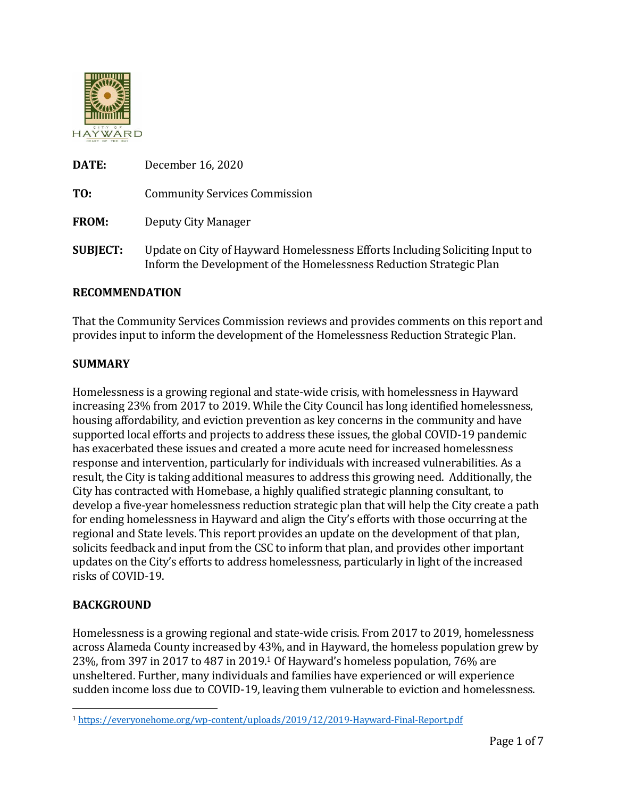

| DATE:           | December 16, 2020                                                                                                                                   |
|-----------------|-----------------------------------------------------------------------------------------------------------------------------------------------------|
| TO:             | <b>Community Services Commission</b>                                                                                                                |
| <b>FROM:</b>    | Deputy City Manager                                                                                                                                 |
| <b>SUBJECT:</b> | Update on City of Hayward Homelessness Efforts Including Soliciting Input to<br>Inform the Development of the Homelessness Reduction Strategic Plan |

#### **RECOMMENDATION**

That the Community Services Commission reviews and provides comments on this report and provides input to inform the development of the Homelessness Reduction Strategic Plan.

#### **SUMMARY**

Homelessness is a growing regional and state-wide crisis, with homelessness in Hayward increasing 23% from 2017 to 2019. While the City Council has long identified homelessness, housing affordability, and eviction prevention as key concerns in the community and have supported local efforts and projects to address these issues, the global COVID-19 pandemic has exacerbated these issues and created a more acute need for increased homelessness response and intervention, particularly for individuals with increased vulnerabilities. As a result, the City is taking additional measures to address this growing need. Additionally, the City has contracted with Homebase, a highly qualified strategic planning consultant, to develop a five-year homelessness reduction strategic plan that will help the City create a path for ending homelessness in Hayward and align the City's efforts with those occurring at the regional and State levels. This report provides an update on the development of that plan, solicits feedback and input from the CSC to inform that plan, and provides other important updates on the City's efforts to address homelessness, particularly in light of the increased risks of COVID-19.

#### **BACKGROUND**

Homelessness is a growing regional and state-wide crisis. From 2017 to 2019, homelessness across Alameda County increased by 43%, and in Hayward, the homeless population grew by 23%, from 397 in 2017 to 487 in 2019.<sup>1</sup> Of Hayward's homeless population, 76% are unsheltered. Further, many individuals and families have experienced or will experience sudden income loss due to COVID-19, leaving them vulnerable to eviction and homelessness.

<sup>1</sup> <https://everyonehome.org/wp-content/uploads/2019/12/2019-Hayward-Final-Report.pdf>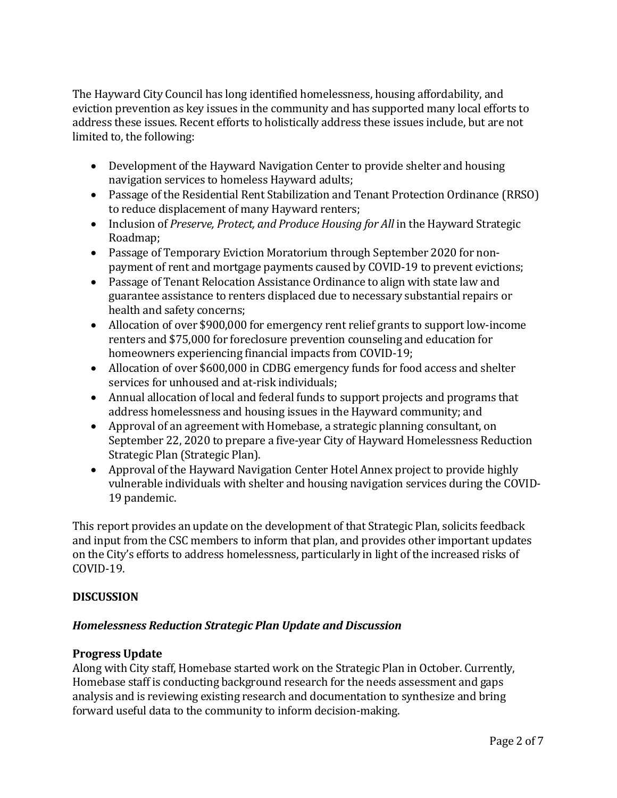The Hayward City Council has long identified homelessness, housing affordability, and eviction prevention as key issues in the community and has supported many local efforts to address these issues. Recent efforts to holistically address these issues include, but are not limited to, the following:

- Development of the Hayward Navigation Center to provide shelter and housing navigation services to homeless Hayward adults;
- Passage of the Residential Rent Stabilization and Tenant Protection Ordinance (RRSO) to reduce displacement of many Hayward renters;
- Inclusion of *Preserve, Protect, and Produce Housing for All* in the Hayward Strategic Roadmap;
- Passage of Temporary Eviction Moratorium through September 2020 for nonpayment of rent and mortgage payments caused by COVID-19 to prevent evictions;
- Passage of Tenant Relocation Assistance Ordinance to align with state law and guarantee assistance to renters displaced due to necessary substantial repairs or health and safety concerns;
- Allocation of over \$900,000 for emergency rent relief grants to support low-income renters and \$75,000 for foreclosure prevention counseling and education for homeowners experiencing financial impacts from COVID-19;
- Allocation of over \$600,000 in CDBG emergency funds for food access and shelter services for unhoused and at-risk individuals;
- Annual allocation of local and federal funds to support projects and programs that address homelessness and housing issues in the Hayward community; and
- Approval of an agreement with Homebase, a strategic planning consultant, on September 22, 2020 to prepare a five-year City of Hayward Homelessness Reduction Strategic Plan (Strategic Plan).
- Approval of the Hayward Navigation Center Hotel Annex project to provide highly vulnerable individuals with shelter and housing navigation services during the COVID-19 pandemic.

This report provides an update on the development of that Strategic Plan, solicits feedback and input from the CSC members to inform that plan, and provides other important updates on the City's efforts to address homelessness, particularly in light of the increased risks of COVID-19.

# **DISCUSSION**

# *Homelessness Reduction Strategic Plan Update and Discussion*

### **Progress Update**

Along with City staff, Homebase started work on the Strategic Plan in October. Currently, Homebase staff is conducting background research for the needs assessment and gaps analysis and is reviewing existing research and documentation to synthesize and bring forward useful data to the community to inform decision-making.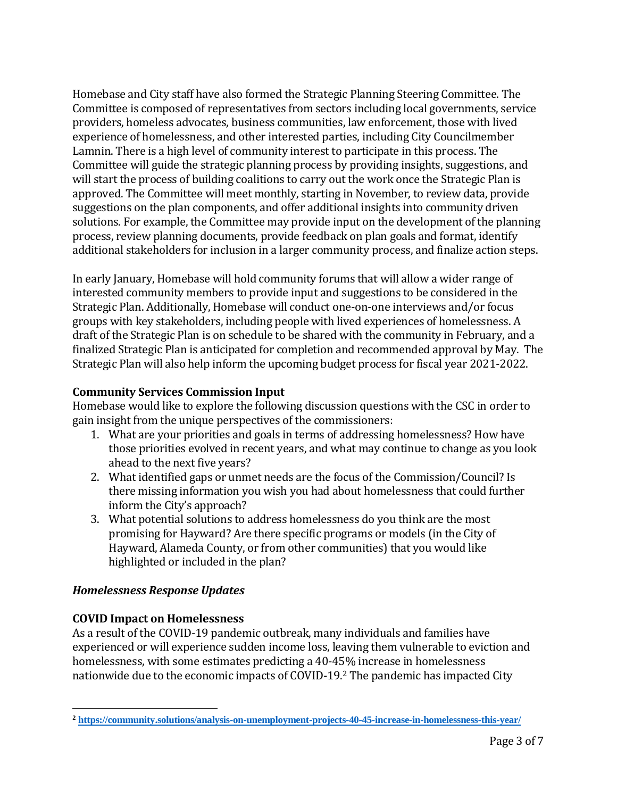Homebase and City staff have also formed the Strategic Planning Steering Committee. The Committee is composed of representatives from sectors including local governments, service providers, homeless advocates, business communities, law enforcement, those with lived experience of homelessness, and other interested parties, including City Councilmember Lamnin. There is a high level of community interest to participate in this process. The Committee will guide the strategic planning process by providing insights, suggestions, and will start the process of building coalitions to carry out the work once the Strategic Plan is approved. The Committee will meet monthly, starting in November, to review data, provide suggestions on the plan components, and offer additional insights into community driven solutions. For example, the Committee may provide input on the development of the planning process, review planning documents, provide feedback on plan goals and format, identify additional stakeholders for inclusion in a larger community process, and finalize action steps.

In early January, Homebase will hold community forums that will allow a wider range of interested community members to provide input and suggestions to be considered in the Strategic Plan. Additionally, Homebase will conduct one-on-one interviews and/or focus groups with key stakeholders, including people with lived experiences of homelessness. A draft of the Strategic Plan is on schedule to be shared with the community in February, and a finalized Strategic Plan is anticipated for completion and recommended approval by May. The Strategic Plan will also help inform the upcoming budget process for fiscal year 2021-2022.

# **Community Services Commission Input**

Homebase would like to explore the following discussion questions with the CSC in order to gain insight from the unique perspectives of the commissioners:

- 1. What are your priorities and goals in terms of addressing homelessness? How have those priorities evolved in recent years, and what may continue to change as you look ahead to the next five years?
- 2. What identified gaps or unmet needs are the focus of the Commission/Council? Is there missing information you wish you had about homelessness that could further inform the City's approach?
- 3. What potential solutions to address homelessness do you think are the most promising for Hayward? Are there specific programs or models (in the City of Hayward, Alameda County, or from other communities) that you would like highlighted or included in the plan?

# *Homelessness Response Updates*

# **COVID Impact on Homelessness**

As a result of the COVID-19 pandemic outbreak, many individuals and families have experienced or will experience sudden income loss, leaving them vulnerable to eviction and homelessness, with some estimates predicting a 40-45% increase in homelessness nationwide due to the economic impacts of COVID-19.<sup>2</sup> The pandemic has impacted City

 **<sup>2</sup> <https://community.solutions/analysis-on-unemployment-projects-40-45-increase-in-homelessness-this-year/>**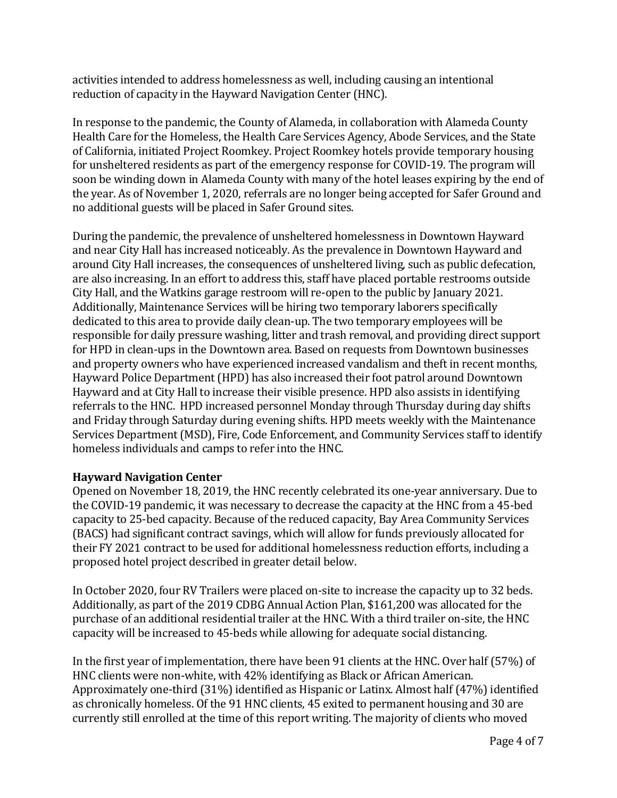activities intended to address homelessness as well, including causing an intentional reduction of capacity in the Hayward Navigation Center (HNC).

In response to the pandemic, the County of Alameda, in collaboration with Alameda County Health Care for the Homeless, the Health Care Services Agency, Abode Services, and the State of California, initiated Project Roomkey. Project Roomkey hotels provide temporary housing for unsheltered residents as part of the emergency response for COVID-19. The program will soon be winding down in Alameda County with many of the hotel leases expiring by the end of the year. As of November 1, 2020, referrals are no longer being accepted for Safer Ground and no additional guests will be placed in Safer Ground sites.

During the pandemic, the prevalence of unsheltered homelessness in Downtown Hayward and near City Hall has increased noticeably. As the prevalence in Downtown Hayward and around City Hall increases, the consequences of unsheltered living, such as public defecation, are also increasing. In an effort to address this, staff have placed portable restrooms outside City Hall, and the Watkins garage restroom will re-open to the public by January 2021. Additionally, Maintenance Services will be hiring two temporary laborers specifically dedicated to this area to provide daily clean-up. The two temporary employees will be responsible for daily pressure washing, litter and trash removal, and providing direct support for HPD in clean-ups in the Downtown area. Based on requests from Downtown businesses and property owners who have experienced increased vandalism and theft in recent months, Hayward Police Department (HPD) has also increased their foot patrol around Downtown Hayward and at City Hall to increase their visible presence. HPD also assists in identifying referrals to the HNC. HPD increased personnel Monday through Thursday during day shifts and Friday through Saturday during evening shifts. HPD meets weekly with the Maintenance Services Department (MSD), Fire, Code Enforcement, and Community Services staff to identify homeless individuals and camps to refer into the HNC.

### **Hayward Navigation Center**

Opened on November 18, 2019, the HNC recently celebrated its one-year anniversary. Due to the COVID-19 pandemic, it was necessary to decrease the capacity at the HNC from a 45-bed capacity to 25-bed capacity. Because of the reduced capacity, Bay Area Community Services (BACS) had significant contract savings, which will allow for funds previously allocated for their FY 2021 contract to be used for additional homelessness reduction efforts, including a proposed hotel project described in greater detail below.

In October 2020, four RV Trailers were placed on-site to increase the capacity up to 32 beds. Additionally, as part of the 2019 CDBG Annual Action Plan, \$161,200 was allocated for the purchase of an additional residential trailer at the HNC. With a third trailer on-site, the HNC capacity will be increased to 45-beds while allowing for adequate social distancing.

In the first year of implementation, there have been 91 clients at the HNC. Over half (57%) of HNC clients were non-white, with 42% identifying as Black or African American. Approximately one-third (31%) identified as Hispanic or Latinx. Almost half (47%) identified as chronically homeless. Of the 91 HNC clients, 45 exited to permanent housing and 30 are currently still enrolled at the time of this report writing. The majority of clients who moved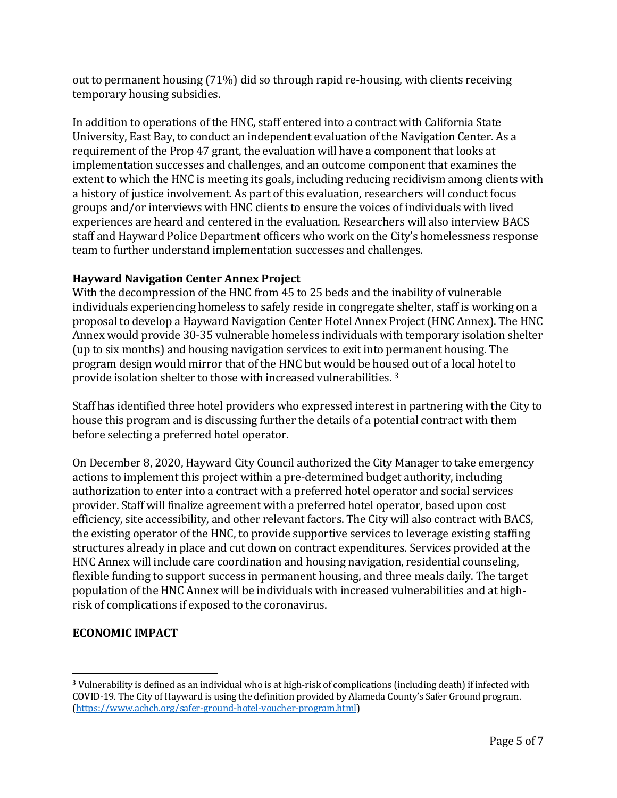out to permanent housing (71%) did so through rapid re-housing, with clients receiving temporary housing subsidies.

In addition to operations of the HNC, staff entered into a contract with California State University, East Bay, to conduct an independent evaluation of the Navigation Center. As a requirement of the Prop 47 grant, the evaluation will have a component that looks at implementation successes and challenges, and an outcome component that examines the extent to which the HNC is meeting its goals, including reducing recidivism among clients with a history of justice involvement. As part of this evaluation, researchers will conduct focus groups and/or interviews with HNC clients to ensure the voices of individuals with lived experiences are heard and centered in the evaluation. Researchers will also interview BACS staff and Hayward Police Department officers who work on the City's homelessness response team to further understand implementation successes and challenges.

### **Hayward Navigation Center Annex Project**

With the decompression of the HNC from 45 to 25 beds and the inability of vulnerable individuals experiencing homeless to safely reside in congregate shelter, staff is working on a proposal to develop a Hayward Navigation Center Hotel Annex Project (HNC Annex). The HNC Annex would provide 30-35 vulnerable homeless individuals with temporary isolation shelter (up to six months) and housing navigation services to exit into permanent housing. The program design would mirror that of the HNC but would be housed out of a local hotel to provide isolation shelter to those with increased vulnerabilities. <sup>3</sup>

Staff has identified three hotel providers who expressed interest in partnering with the City to house this program and is discussing further the details of a potential contract with them before selecting a preferred hotel operator.

On December 8, 2020, Hayward City Council authorized the City Manager to take emergency actions to implement this project within a pre-determined budget authority, including authorization to enter into a contract with a preferred hotel operator and social services provider. Staff will finalize agreement with a preferred hotel operator, based upon cost efficiency, site accessibility, and other relevant factors. The City will also contract with BACS, the existing operator of the HNC, to provide supportive services to leverage existing staffing structures already in place and cut down on contract expenditures. Services provided at the HNC Annex will include care coordination and housing navigation, residential counseling, flexible funding to support success in permanent housing, and three meals daily. The target population of the HNC Annex will be individuals with increased vulnerabilities and at highrisk of complications if exposed to the coronavirus.

# **ECONOMIC IMPACT**

**<sup>3</sup>** Vulnerability is defined as an individual who is at high-risk of complications (including death) if infected with COVID-19. The City of Hayward is using the definition provided by Alameda County's Safer Ground program. [\(https://www.achch.org/safer-ground-hotel-voucher-program.html\)](https://www.achch.org/safer-ground-hotel-voucher-program.html)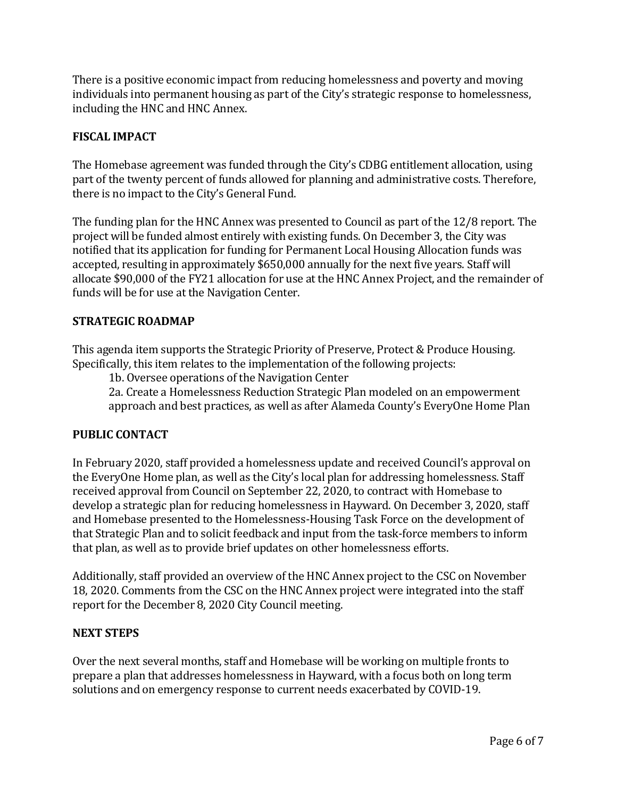There is a positive economic impact from reducing homelessness and poverty and moving individuals into permanent housing as part of the City's strategic response to homelessness, including the HNC and HNC Annex.

### **FISCAL IMPACT**

The Homebase agreement was funded through the City's CDBG entitlement allocation, using part of the twenty percent of funds allowed for planning and administrative costs. Therefore, there is no impact to the City's General Fund.

The funding plan for the HNC Annex was presented to Council as part of the 12/8 report. The project will be funded almost entirely with existing funds. On December 3, the City was notified that its application for funding for Permanent Local Housing Allocation funds was accepted, resulting in approximately \$650,000 annually for the next five years. Staff will allocate \$90,000 of the FY21 allocation for use at the HNC Annex Project, and the remainder of funds will be for use at the Navigation Center.

### **STRATEGIC ROADMAP**

This agenda item supports the Strategic Priority of Preserve, Protect & Produce Housing. Specifically, this item relates to the implementation of the following projects:

1b. Oversee operations of the Navigation Center

2a. Create a Homelessness Reduction Strategic Plan modeled on an empowerment approach and best practices, as well as after Alameda County's EveryOne Home Plan

### **PUBLIC CONTACT**

In February 2020, staff provided a homelessness update and received Council's approval on the EveryOne Home plan, as well as the City's local plan for addressing homelessness. Staff received approval from Council on September 22, 2020, to contract with Homebase to develop a strategic plan for reducing homelessness in Hayward. On December 3, 2020, staff and Homebase presented to the Homelessness-Housing Task Force on the development of that Strategic Plan and to solicit feedback and input from the task-force members to inform that plan, as well as to provide brief updates on other homelessness efforts.

Additionally, staff provided an overview of the HNC Annex project to the CSC on November 18, 2020. Comments from the CSC on the HNC Annex project were integrated into the staff report for the December 8, 2020 City Council meeting.

### **NEXT STEPS**

Over the next several months, staff and Homebase will be working on multiple fronts to prepare a plan that addresses homelessness in Hayward, with a focus both on long term solutions and on emergency response to current needs exacerbated by COVID-19.